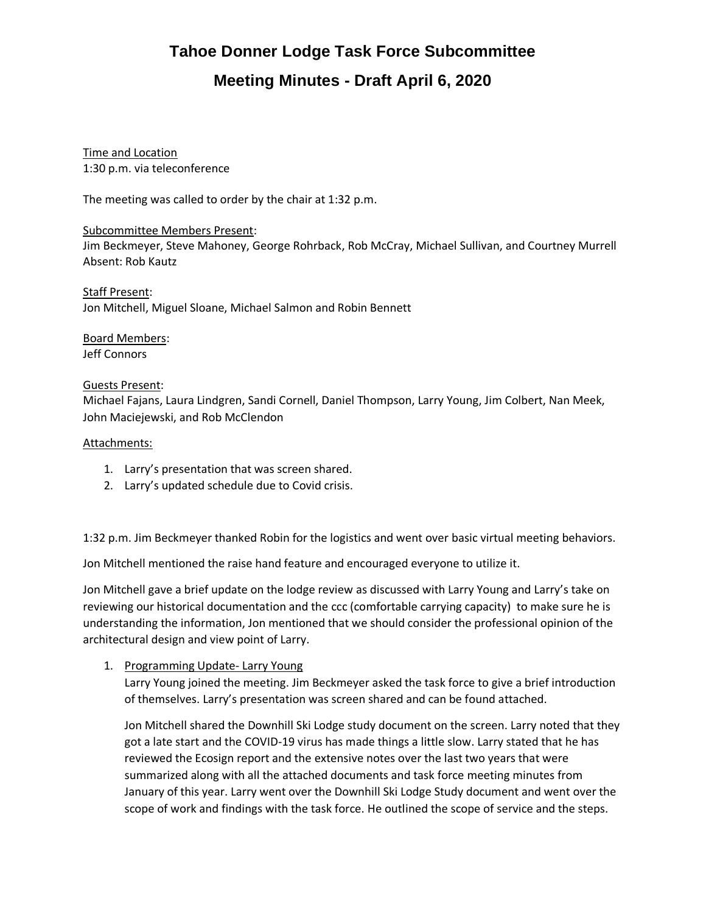Time and Location 1:30 p.m. via teleconference

The meeting was called to order by the chair at 1:32 p.m.

#### Subcommittee Members Present:

Jim Beckmeyer, Steve Mahoney, George Rohrback, Rob McCray, Michael Sullivan, and Courtney Murrell Absent: Rob Kautz

Staff Present: Jon Mitchell, Miguel Sloane, Michael Salmon and Robin Bennett

Board Members: Jeff Connors

### Guests Present:

Michael Fajans, Laura Lindgren, Sandi Cornell, Daniel Thompson, Larry Young, Jim Colbert, Nan Meek, John Maciejewski, and Rob McClendon

### Attachments:

- 1. Larry's presentation that was screen shared.
- 2. Larry's updated schedule due to Covid crisis.

1:32 p.m. Jim Beckmeyer thanked Robin for the logistics and went over basic virtual meeting behaviors.

Jon Mitchell mentioned the raise hand feature and encouraged everyone to utilize it.

Jon Mitchell gave a brief update on the lodge review as discussed with Larry Young and Larry's take on reviewing our historical documentation and the ccc (comfortable carrying capacity) to make sure he is understanding the information, Jon mentioned that we should consider the professional opinion of the architectural design and view point of Larry.

## 1. Programming Update- Larry Young

Larry Young joined the meeting. Jim Beckmeyer asked the task force to give a brief introduction of themselves. Larry's presentation was screen shared and can be found attached.

Jon Mitchell shared the Downhill Ski Lodge study document on the screen. Larry noted that they got a late start and the COVID-19 virus has made things a little slow. Larry stated that he has reviewed the Ecosign report and the extensive notes over the last two years that were summarized along with all the attached documents and task force meeting minutes from January of this year. Larry went over the Downhill Ski Lodge Study document and went over the scope of work and findings with the task force. He outlined the scope of service and the steps.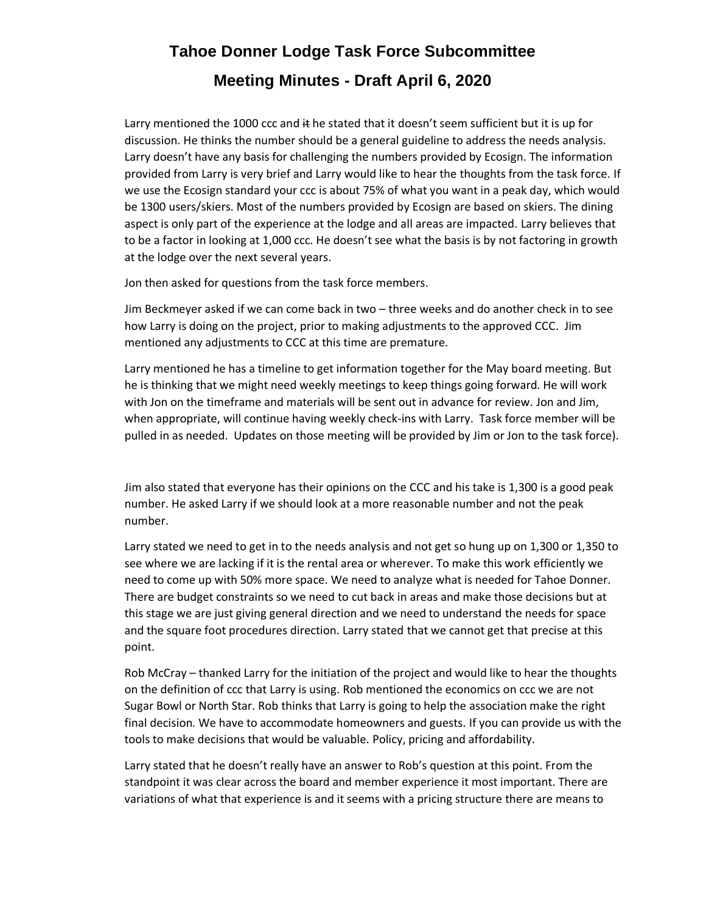Larry mentioned the 1000 ccc and  $#$  he stated that it doesn't seem sufficient but it is up for discussion. He thinks the number should be a general guideline to address the needs analysis. Larry doesn't have any basis for challenging the numbers provided by Ecosign. The information provided from Larry is very brief and Larry would like to hear the thoughts from the task force. If we use the Ecosign standard your ccc is about 75% of what you want in a peak day, which would be 1300 users/skiers. Most of the numbers provided by Ecosign are based on skiers. The dining aspect is only part of the experience at the lodge and all areas are impacted. Larry believes that to be a factor in looking at 1,000 ccc. He doesn't see what the basis is by not factoring in growth at the lodge over the next several years.

Jon then asked for questions from the task force members.

Jim Beckmeyer asked if we can come back in two – three weeks and do another check in to see how Larry is doing on the project, prior to making adjustments to the approved CCC. Jim mentioned any adjustments to CCC at this time are premature.

Larry mentioned he has a timeline to get information together for the May board meeting. But he is thinking that we might need weekly meetings to keep things going forward. He will work with Jon on the timeframe and materials will be sent out in advance for review. Jon and Jim, when appropriate, will continue having weekly check-ins with Larry. Task force member will be pulled in as needed. Updates on those meeting will be provided by Jim or Jon to the task force).

Jim also stated that everyone has their opinions on the CCC and his take is 1,300 is a good peak number. He asked Larry if we should look at a more reasonable number and not the peak number.

Larry stated we need to get in to the needs analysis and not get so hung up on 1,300 or 1,350 to see where we are lacking if it is the rental area or wherever. To make this work efficiently we need to come up with 50% more space. We need to analyze what is needed for Tahoe Donner. There are budget constraints so we need to cut back in areas and make those decisions but at this stage we are just giving general direction and we need to understand the needs for space and the square foot procedures direction. Larry stated that we cannot get that precise at this point.

Rob McCray – thanked Larry for the initiation of the project and would like to hear the thoughts on the definition of ccc that Larry is using. Rob mentioned the economics on ccc we are not Sugar Bowl or North Star. Rob thinks that Larry is going to help the association make the right final decision. We have to accommodate homeowners and guests. If you can provide us with the tools to make decisions that would be valuable. Policy, pricing and affordability.

Larry stated that he doesn't really have an answer to Rob's question at this point. From the standpoint it was clear across the board and member experience it most important. There are variations of what that experience is and it seems with a pricing structure there are means to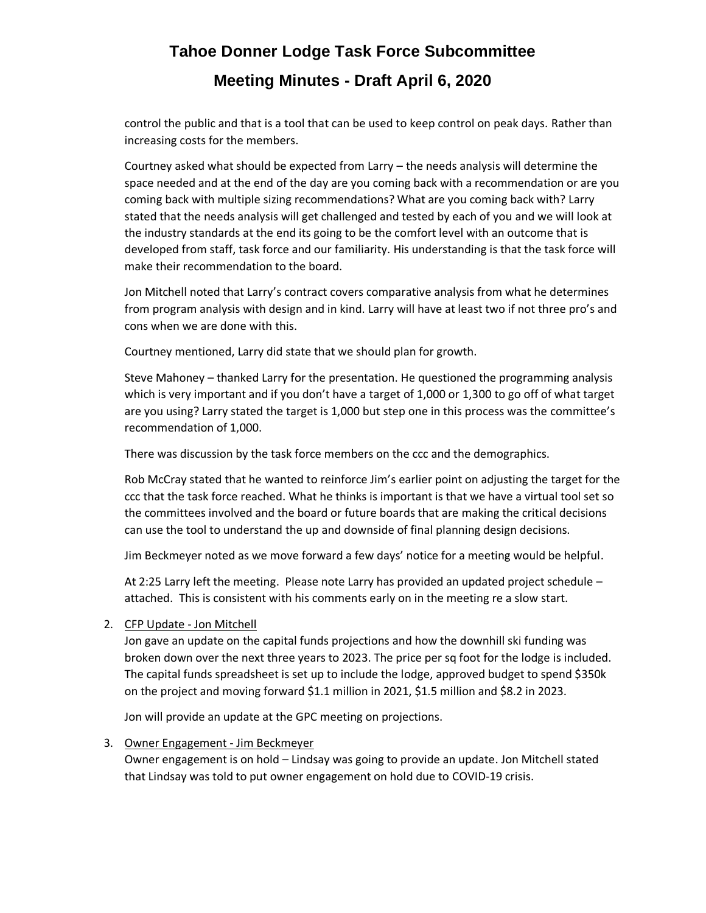control the public and that is a tool that can be used to keep control on peak days. Rather than increasing costs for the members.

Courtney asked what should be expected from Larry – the needs analysis will determine the space needed and at the end of the day are you coming back with a recommendation or are you coming back with multiple sizing recommendations? What are you coming back with? Larry stated that the needs analysis will get challenged and tested by each of you and we will look at the industry standards at the end its going to be the comfort level with an outcome that is developed from staff, task force and our familiarity. His understanding is that the task force will make their recommendation to the board.

Jon Mitchell noted that Larry's contract covers comparative analysis from what he determines from program analysis with design and in kind. Larry will have at least two if not three pro's and cons when we are done with this.

Courtney mentioned, Larry did state that we should plan for growth.

Steve Mahoney – thanked Larry for the presentation. He questioned the programming analysis which is very important and if you don't have a target of 1,000 or 1,300 to go off of what target are you using? Larry stated the target is 1,000 but step one in this process was the committee's recommendation of 1,000.

There was discussion by the task force members on the ccc and the demographics.

Rob McCray stated that he wanted to reinforce Jim's earlier point on adjusting the target for the ccc that the task force reached. What he thinks is important is that we have a virtual tool set so the committees involved and the board or future boards that are making the critical decisions can use the tool to understand the up and downside of final planning design decisions.

Jim Beckmeyer noted as we move forward a few days' notice for a meeting would be helpful.

At 2:25 Larry left the meeting. Please note Larry has provided an updated project schedule – attached. This is consistent with his comments early on in the meeting re a slow start.

## 2. CFP Update - Jon Mitchell

Jon gave an update on the capital funds projections and how the downhill ski funding was broken down over the next three years to 2023. The price per sq foot for the lodge is included. The capital funds spreadsheet is set up to include the lodge, approved budget to spend \$350k on the project and moving forward \$1.1 million in 2021, \$1.5 million and \$8.2 in 2023.

Jon will provide an update at the GPC meeting on projections.

## 3. Owner Engagement - Jim Beckmeyer

Owner engagement is on hold – Lindsay was going to provide an update. Jon Mitchell stated that Lindsay was told to put owner engagement on hold due to COVID-19 crisis.